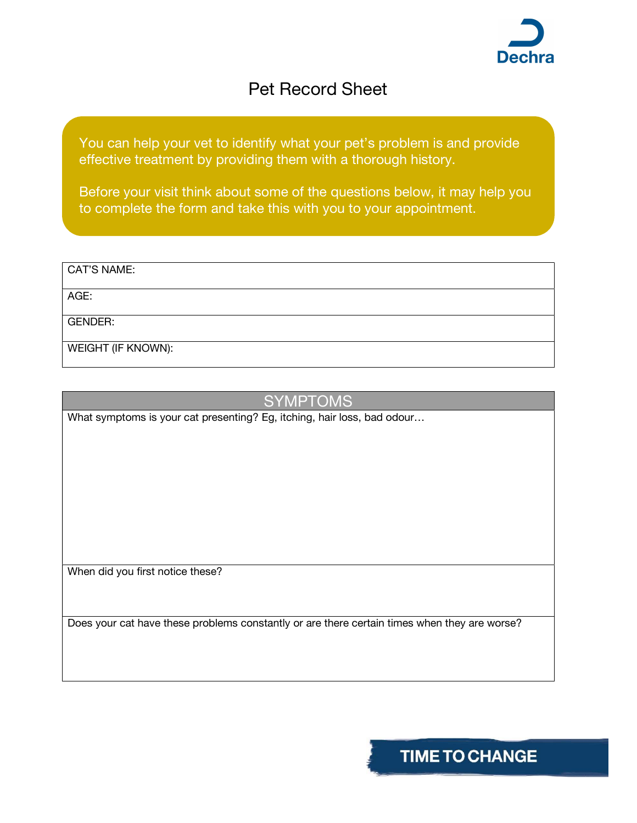

## Pet Record Sheet

You can help your vet to identify what your pet's problem is and provide effective treatment by providing them with a thorough history.

Before your visit think about some of the questions below, it may help you to complete the form and take this with you to your appointment.

| CAT'S NAME:               |  |
|---------------------------|--|
| AGE:                      |  |
| <b>GENDER:</b>            |  |
| <b>WEIGHT (IF KNOWN):</b> |  |

## **SYMPTOMS**

What symptoms is your cat presenting? Eg, itching, hair loss, bad odour...

When did you first notice these?

Does your cat have these problems constantly or are there certain times when they are worse?